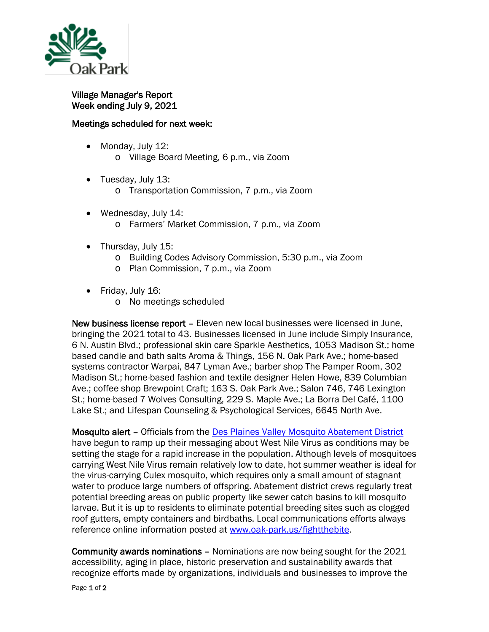

Village Manager's Report Week ending July 9, 2021

## Meetings scheduled for next week:

- Monday, July 12: o Village Board Meeting, 6 p.m., via Zoom
- Tuesday, July 13:
	- o Transportation Commission, 7 p.m., via Zoom
- Wednesday, July 14: o Farmers' Market Commission, 7 p.m., via Zoom
- Thursday, July 15:
	- o Building Codes Advisory Commission, 5:30 p.m., via Zoom
	- o Plan Commission, 7 p.m., via Zoom
- Friday, July 16:
	- o No meetings scheduled

New business license report – Eleven new local businesses were licensed in June, bringing the 2021 total to 43. Businesses licensed in June include Simply Insurance, 6 N. Austin Blvd.; professional skin care Sparkle Aesthetics, 1053 Madison St.; home based candle and bath salts Aroma & Things, 156 N. Oak Park Ave.; home-based systems contractor Warpai, 847 Lyman Ave.; barber shop The Pamper Room, 302 Madison St.; home-based fashion and textile designer Helen Howe, 839 Columbian Ave.; coffee shop Brewpoint Craft; 163 S. Oak Park Ave.; Salon 746, 746 Lexington St.; home-based 7 Wolves Consulting, 229 S. Maple Ave.; La Borra Del Café, 1100 Lake St.; and Lifespan Counseling & Psychological Services, 6645 North Ave.

Mosquito alert – Officials from the [Des Plaines Valley Mosquito Abatement District](https://www.desplainesvalleymad.com/) have begun to ramp up their messaging about West Nile Virus as conditions may be setting the stage for a rapid increase in the population. Although levels of mosquitoes carrying West Nile Virus remain relatively low to date, hot summer weather is ideal for the virus-carrying Culex mosquito, which requires only a small amount of stagnant water to produce large numbers of offspring. Abatement district crews regularly treat potential breeding areas on public property like sewer catch basins to kill mosquito larvae. But it is up to residents to eliminate potential breeding sites such as clogged roof gutters, empty containers and birdbaths. Local communications efforts always reference online information posted at [www.oak-park.us/fightthebite.](http://www.oak-park.us/fightthebite)

Community awards nominations – Nominations are now being sought for the 2021 accessibility, aging in place, historic preservation and sustainability awards that recognize efforts made by organizations, individuals and businesses to improve the